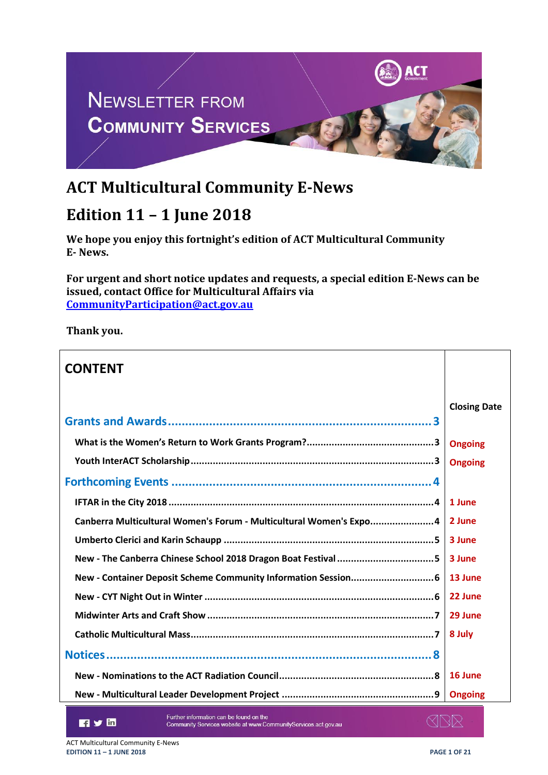

# **ACT Multicultural Community E-News**

# **Edition 11 – 1 June 2018**

**We hope you enjoy this fortnight's edition of ACT Multicultural Community E- News.**

**For urgent and short notice updates and requests, a special edition E-News can be issued, contact Office for Multicultural Affairs via [CommunityParticipation@act.gov.au](mailto:CommunityParticipation@act.gov.au)**

**Thank you.**

| <b>CONTENT</b>                                                     |                     |
|--------------------------------------------------------------------|---------------------|
|                                                                    | <b>Closing Date</b> |
|                                                                    |                     |
|                                                                    | <b>Ongoing</b>      |
|                                                                    |                     |
|                                                                    |                     |
|                                                                    | 1 June              |
| Canberra Multicultural Women's Forum - Multicultural Women's Expo4 | 2 June              |
|                                                                    | 3 June              |
| 3 June                                                             |                     |
|                                                                    |                     |
|                                                                    | 22 June             |
|                                                                    | 29 June             |
|                                                                    |                     |
|                                                                    |                     |
|                                                                    |                     |
|                                                                    | <b>Ongoing</b>      |

日ソ面

Further information can be found on the Community Services website at www.CommunityServices.act.gov.au ≪N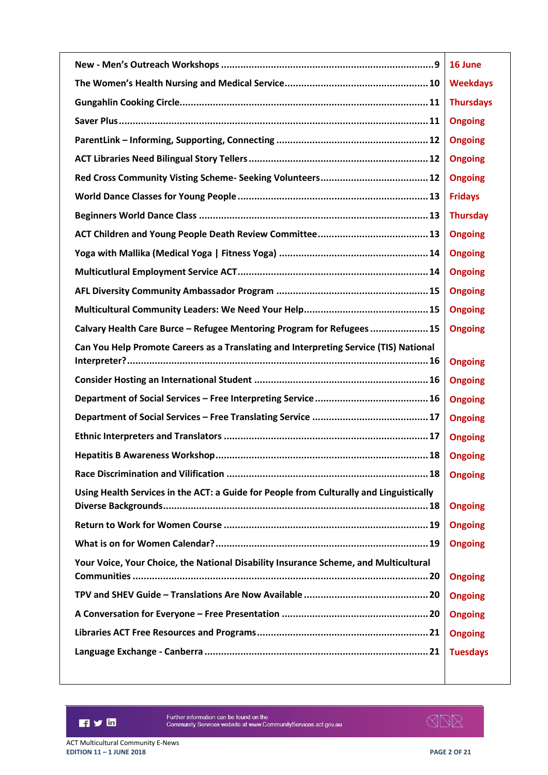|                                                                                         | 16 June          |
|-----------------------------------------------------------------------------------------|------------------|
|                                                                                         | <b>Weekdays</b>  |
|                                                                                         | <b>Thursdays</b> |
|                                                                                         | <b>Ongoing</b>   |
|                                                                                         | <b>Ongoing</b>   |
|                                                                                         | <b>Ongoing</b>   |
|                                                                                         | <b>Ongoing</b>   |
|                                                                                         | <b>Fridays</b>   |
|                                                                                         | <b>Thursday</b>  |
|                                                                                         | <b>Ongoing</b>   |
|                                                                                         | <b>Ongoing</b>   |
|                                                                                         | <b>Ongoing</b>   |
|                                                                                         | <b>Ongoing</b>   |
|                                                                                         | <b>Ongoing</b>   |
| Calvary Health Care Burce - Refugee Mentoring Program for Refugees  15                  | <b>Ongoing</b>   |
| Can You Help Promote Careers as a Translating and Interpreting Service (TIS) National   | <b>Ongoing</b>   |
|                                                                                         | <b>Ongoing</b>   |
|                                                                                         | <b>Ongoing</b>   |
|                                                                                         | <b>Ongoing</b>   |
|                                                                                         | <b>Ongoing</b>   |
|                                                                                         | <b>Ongoing</b>   |
|                                                                                         | <b>Ongoing</b>   |
| Using Health Services in the ACT: a Guide for People from Culturally and Linguistically |                  |
|                                                                                         | <b>Ongoing</b>   |
|                                                                                         | <b>Ongoing</b>   |
|                                                                                         | <b>Ongoing</b>   |
| Your Voice, Your Choice, the National Disability Insurance Scheme, and Multicultural    |                  |
|                                                                                         | <b>Ongoing</b>   |
|                                                                                         | <b>Ongoing</b>   |
|                                                                                         | <b>Ongoing</b>   |
|                                                                                         | <b>Ongoing</b>   |
|                                                                                         | <b>Tuesdays</b>  |
|                                                                                         |                  |

n y m

Further information can be found on the<br>Community Services website at www.CommunityServices.act.gov.au

**ISR**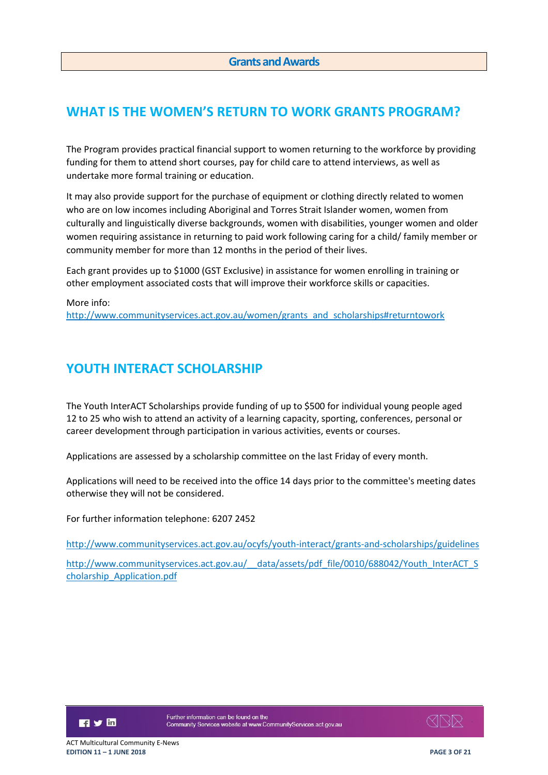## <span id="page-2-1"></span><span id="page-2-0"></span>**WHAT IS THE WOMEN'S RETURN TO WORK GRANTS PROGRAM?**

The Program provides practical financial support to women returning to the workforce by providing funding for them to attend short courses, pay for child care to attend interviews, as well as undertake more formal training or education.

It may also provide support for the purchase of equipment or clothing directly related to women who are on low incomes including Aboriginal and Torres Strait Islander women, women from culturally and linguistically diverse backgrounds, women with disabilities, younger women and older women requiring assistance in returning to paid work following caring for a child/ family member or community member for more than 12 months in the period of their lives.

Each grant provides up to \$1000 (GST Exclusive) in assistance for women enrolling in training or other employment associated costs that will improve their workforce skills or capacities.

More info: [http://www.communityservices.act.gov.au/women/grants\\_and\\_scholarships#returntowork](http://www.communityservices.act.gov.au/women/grants_and_scholarships#returntowork)

## <span id="page-2-2"></span>**YOUTH INTERACT SCHOLARSHIP**

The Youth InterACT Scholarships provide funding of up to \$500 for individual young people aged 12 to 25 who wish to attend an activity of a learning capacity, sporting, conferences, personal or career development through participation in various activities, events or courses.

Applications are assessed by a scholarship committee on the last Friday of every month.

Applications will need to be received into the office 14 days prior to the committee's meeting dates otherwise they will not be considered.

For further information telephone: 6207 2452

<http://www.communityservices.act.gov.au/ocyfs/youth-interact/grants-and-scholarships/guidelines>

http://www.communityservices.act.gov.au/ data/assets/pdf\_file/0010/688042/Youth\_InterACT\_S [cholarship\\_Application.pdf](http://www.communityservices.act.gov.au/__data/assets/pdf_file/0010/688042/Youth_InterACT_Scholarship_Application.pdf)

日ソ回

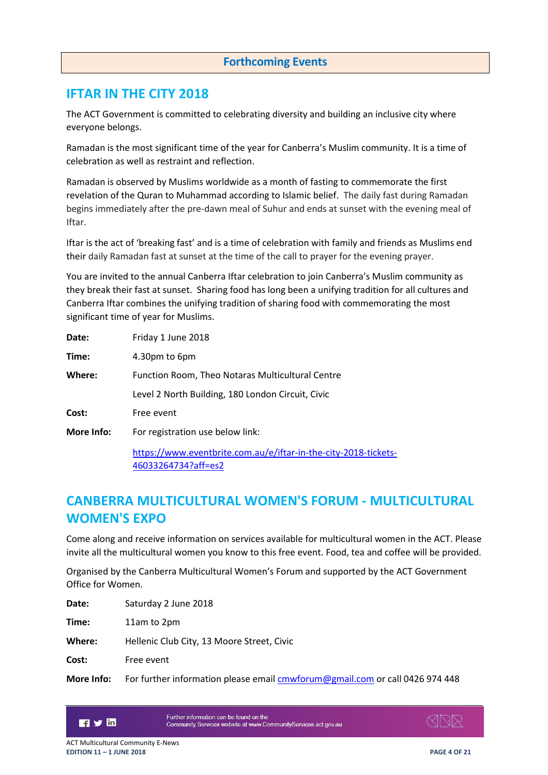#### **Forthcoming Events**

### <span id="page-3-1"></span><span id="page-3-0"></span>**IFTAR IN THE CITY 2018**

The ACT Government is committed to celebrating diversity and building an inclusive city where everyone belongs.

Ramadan is the most significant time of the year for Canberra's Muslim community. It is a time of celebration as well as restraint and reflection.

Ramadan is observed by Muslims worldwide as a month of fasting to commemorate the first revelation of the Quran to Muhammad according to Islamic belief. The daily fast during Ramadan begins immediately after the pre-dawn meal of Suhur and ends at sunset with the evening meal of Iftar.

Iftar is the act of 'breaking fast' and is a time of celebration with family and friends as Muslims end their daily Ramadan fast at sunset at the time of the call to prayer for the evening prayer.

You are invited to the annual Canberra Iftar celebration to join Canberra's Muslim community as they break their fast at sunset. Sharing food has long been a unifying tradition for all cultures and Canberra Iftar combines the unifying tradition of sharing food with commemorating the most significant time of year for Muslims.

| Date:      | Friday 1 June 2018                                                                     |
|------------|----------------------------------------------------------------------------------------|
| Time:      | 4.30pm to 6pm                                                                          |
| Where:     | Function Room, Theo Notaras Multicultural Centre                                       |
|            | Level 2 North Building, 180 London Circuit, Civic                                      |
| Cost:      | Free event                                                                             |
| More Info: | For registration use below link:                                                       |
|            | https://www.eventbrite.com.au/e/iftar-in-the-city-2018-tickets-<br>46033264734?aff=es2 |

## <span id="page-3-2"></span>**CANBERRA MULTICULTURAL WOMEN'S FORUM - MULTICULTURAL WOMEN'S EXPO**

Come along and receive information on services available for multicultural women in the ACT. Please invite all the multicultural women you know to this free event. Food, tea and coffee will be provided.

Organised by the Canberra Multicultural Women's Forum and supported by the ACT Government Office for Women.

| Date:  | Saturday 2 June 2018                       |
|--------|--------------------------------------------|
| Time:  | 11am to 2pm                                |
| Where: | Hellenic Club City, 13 Moore Street, Civic |
| Cost:  | Free event                                 |
|        |                                            |

More Info: For further information please email **cmwforum@gmail.com** or call 0426 974 448



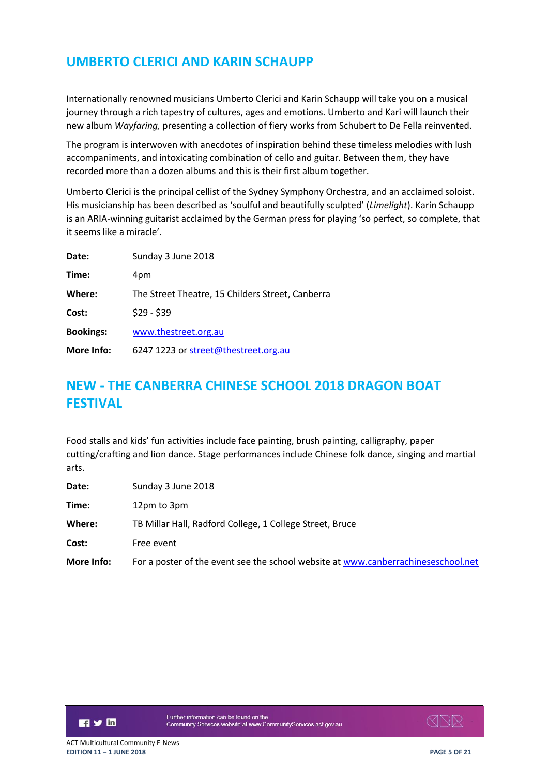## <span id="page-4-0"></span>**UMBERTO CLERICI AND KARIN SCHAUPP**

Internationally renowned musicians Umberto Clerici and Karin Schaupp will take you on a musical journey through a rich tapestry of cultures, ages and emotions. Umberto and Kari will launch their new album *Wayfaring,* presenting a collection of fiery works from Schubert to De Fella reinvented.

The program is interwoven with anecdotes of inspiration behind these timeless melodies with lush accompaniments, and intoxicating combination of cello and guitar. Between them, they have recorded more than a dozen albums and this is their first album together.

Umberto Clerici is the principal cellist of the Sydney Symphony Orchestra, and an acclaimed soloist. His musicianship has been described as 'soulful and beautifully sculpted' (*Limelight*). Karin Schaupp is an ARIA-winning guitarist acclaimed by the German press for playing 'so perfect, so complete, that it seems like a miracle'.

| Date:            | Sunday 3 June 2018                               |
|------------------|--------------------------------------------------|
| Time:            | 4pm                                              |
| Where:           | The Street Theatre, 15 Childers Street, Canberra |
| Cost:            | $$29 - $39$                                      |
| <b>Bookings:</b> | www.thestreet.org.au                             |
| More Info:       | 6247 1223 or street@thestreet.org.au             |

## <span id="page-4-1"></span>**NEW - THE CANBERRA CHINESE SCHOOL 2018 DRAGON BOAT FESTIVAL**

Food stalls and kids' fun activities include face painting, brush painting, calligraphy, paper cutting/crafting and lion dance. Stage performances include Chinese folk dance, singing and martial arts.

| Date:      | Sunday 3 June 2018                                                                |
|------------|-----------------------------------------------------------------------------------|
| Time:      | 12pm to 3pm                                                                       |
| Where:     | TB Millar Hall, Radford College, 1 College Street, Bruce                          |
| Cost:      | Free event                                                                        |
| More Info: | For a poster of the event see the school website at www.canberrachineseschool.net |



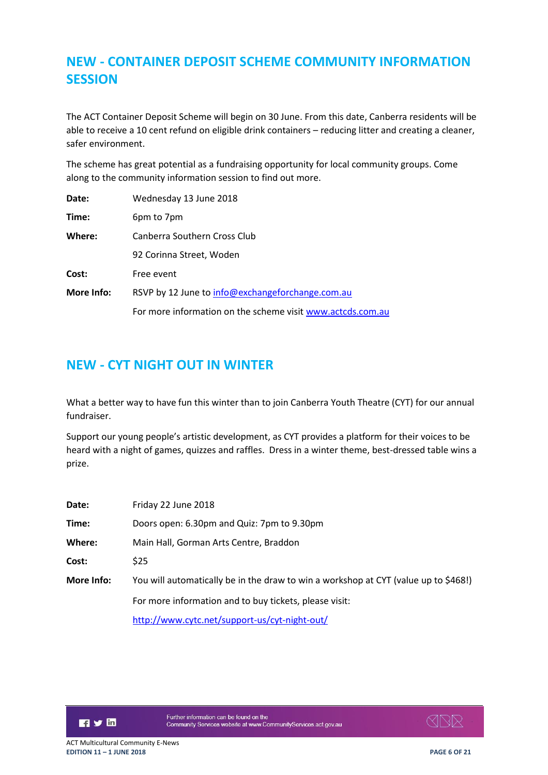## <span id="page-5-0"></span>**NEW - CONTAINER DEPOSIT SCHEME COMMUNITY INFORMATION SESSION**

The ACT Container Deposit Scheme will begin on 30 June. From this date, Canberra residents will be able to receive a 10 cent refund on eligible drink containers – reducing litter and creating a cleaner, safer environment.

The scheme has great potential as a fundraising opportunity for local community groups. Come along to the community information session to find out more.

| Date:      | Wednesday 13 June 2018                                     |
|------------|------------------------------------------------------------|
| Time:      | 6pm to 7pm                                                 |
| Where:     | Canberra Southern Cross Club                               |
|            | 92 Corinna Street, Woden                                   |
| Cost:      | Free event                                                 |
| More Info: | RSVP by 12 June to info@exchangeforchange.com.au           |
|            | For more information on the scheme visit www.actcds.com.au |

## <span id="page-5-1"></span>**NEW - CYT NIGHT OUT IN WINTER**

What a better way to have fun this winter than to join Canberra Youth Theatre (CYT) for our annual fundraiser.

Support our young people's artistic development, as CYT provides a platform for their voices to be heard with a night of games, quizzes and raffles. Dress in a winter theme, best-dressed table wins a prize.

| Date:      | Friday 22 June 2018                                                                 |
|------------|-------------------------------------------------------------------------------------|
| Time:      | Doors open: 6.30pm and Quiz: 7pm to 9.30pm                                          |
| Where:     | Main Hall, Gorman Arts Centre, Braddon                                              |
| Cost:      | <b>S25</b>                                                                          |
| More Info: | You will automatically be in the draw to win a workshop at CYT (value up to \$468!) |
|            | For more information and to buy tickets, please visit:                              |
|            | http://www.cytc.net/support-us/cyt-night-out/                                       |

日ソ回

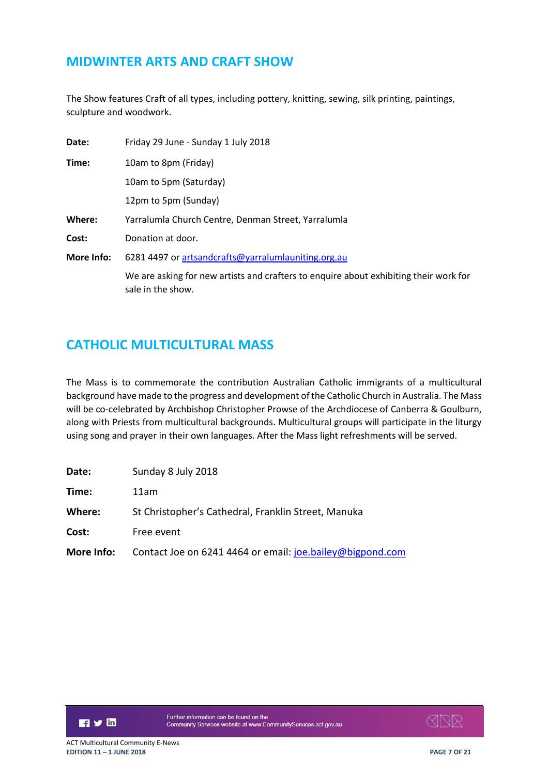## <span id="page-6-0"></span>**MIDWINTER ARTS AND CRAFT SHOW**

The Show features Craft of all types, including pottery, knitting, sewing, silk printing, paintings, sculpture and woodwork.

| Date:      | Friday 29 June - Sunday 1 July 2018                             |
|------------|-----------------------------------------------------------------|
| Time:      | 10am to 8pm (Friday)                                            |
|            | 10am to 5pm (Saturday)                                          |
|            | 12pm to 5pm (Sunday)                                            |
| Where:     | Yarralumla Church Centre, Denman Street, Yarralumla             |
| Cost:      | Donation at door.                                               |
| More Info: | 6281 4497 or artsandcrafts@yarralumlauniting.org.au             |
|            | We are asking for new artists and crafters to enquire about exk |

We are asking for new artists and crafters to enquire about exhibiting their work for sale in the show.

## <span id="page-6-1"></span>**CATHOLIC MULTICULTURAL MASS**

The Mass is to commemorate the contribution Australian Catholic immigrants of a multicultural background have made to the progress and development of the Catholic Church in Australia. The Mass will be co-celebrated by Archbishop Christopher Prowse of the Archdiocese of Canberra & Goulburn, along with Priests from multicultural backgrounds. Multicultural groups will participate in the liturgy using song and prayer in their own languages. After the Mass light refreshments will be served.

| Date:      | Sunday 8 July 2018                                        |
|------------|-----------------------------------------------------------|
| Time:      | 11am                                                      |
| Where:     | St Christopher's Cathedral, Franklin Street, Manuka       |
| Cost:      | Free event                                                |
| More Info: | Contact Joe on 6241 4464 or email: joe.bailey@bigpond.com |



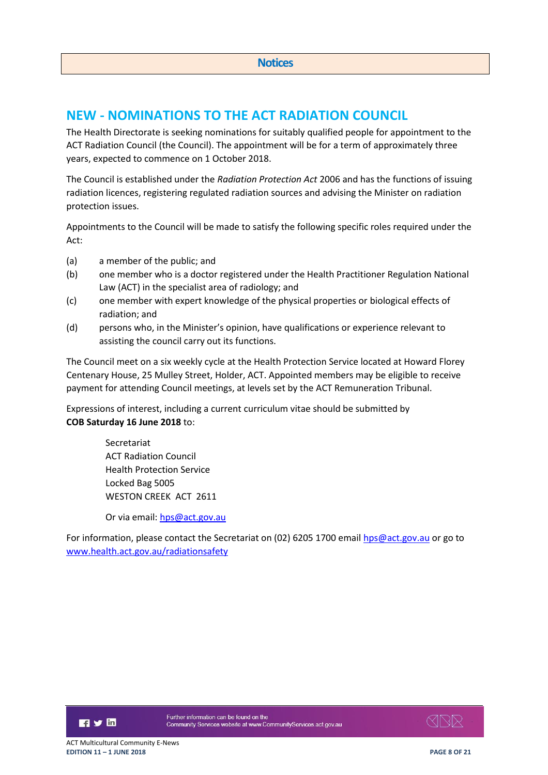## <span id="page-7-1"></span><span id="page-7-0"></span>**NEW - NOMINATIONS TO THE ACT RADIATION COUNCIL**

The Health Directorate is seeking nominations for suitably qualified people for appointment to the ACT Radiation Council (the Council). The appointment will be for a term of approximately three years, expected to commence on 1 October 2018.

The Council is established under the *Radiation Protection Act* 2006 and has the functions of issuing radiation licences, registering regulated radiation sources and advising the Minister on radiation protection issues.

Appointments to the Council will be made to satisfy the following specific roles required under the Act:

- (a) a member of the public; and
- (b) one member who is a doctor registered under the Health Practitioner Regulation National Law (ACT) in the specialist area of radiology; and
- (c) one member with expert knowledge of the physical properties or biological effects of radiation; and
- (d) persons who, in the Minister's opinion, have qualifications or experience relevant to assisting the council carry out its functions.

The Council meet on a six weekly cycle at the Health Protection Service located at Howard Florey Centenary House, 25 Mulley Street, Holder, ACT. Appointed members may be eligible to receive payment for attending Council meetings, at levels set by the ACT Remuneration Tribunal.

Expressions of interest, including a current curriculum vitae should be submitted by **COB Saturday 16 June 2018** to:

> Secretariat ACT Radiation Council Health Protection Service Locked Bag 5005 WESTON CREEK ACT 2611

Or via email[: hps@act.gov.au](mailto:hps@act.gov.au)

For information, please contact the Secretariat on (02) 6205 1700 emai[l hps@act.gov.au](mailto:hps@act.gov.au) or go to [www.health.act.gov.au/radiationsafety](http://www.health.act.gov.au/radiationsafety)

日ソ回

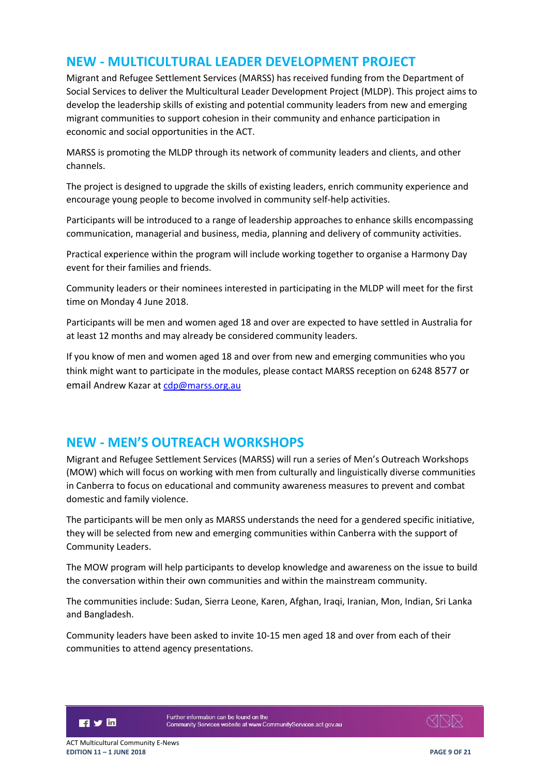### <span id="page-8-0"></span>**NEW - MULTICULTURAL LEADER DEVELOPMENT PROJECT**

Migrant and Refugee Settlement Services (MARSS) has received funding from the Department of Social Services to deliver the Multicultural Leader Development Project (MLDP). This project aims to develop the leadership skills of existing and potential community leaders from new and emerging migrant communities to support cohesion in their community and enhance participation in economic and social opportunities in the ACT.

MARSS is promoting the MLDP through its network of community leaders and clients, and other channels.

The project is designed to upgrade the skills of existing leaders, enrich community experience and encourage young people to become involved in community self-help activities.

Participants will be introduced to a range of leadership approaches to enhance skills encompassing communication, managerial and business, media, planning and delivery of community activities.

Practical experience within the program will include working together to organise a Harmony Day event for their families and friends.

Community leaders or their nominees interested in participating in the MLDP will meet for the first time on Monday 4 June 2018.

Participants will be men and women aged 18 and over are expected to have settled in Australia for at least 12 months and may already be considered community leaders.

If you know of men and women aged 18 and over from new and emerging communities who you think might want to participate in the modules, please contact MARSS reception on 6248 8577 or email Andrew Kazar a[t cdp@marss.org.au](mailto:cdp@marss.org.au)

### <span id="page-8-1"></span>**NEW - MEN'S OUTREACH WORKSHOPS**

Migrant and Refugee Settlement Services (MARSS) will run a series of Men's Outreach Workshops (MOW) which will focus on working with men from culturally and linguistically diverse communities in Canberra to focus on educational and community awareness measures to prevent and combat domestic and family violence.

The participants will be men only as MARSS understands the need for a gendered specific initiative, they will be selected from new and emerging communities within Canberra with the support of Community Leaders.

The MOW program will help participants to develop knowledge and awareness on the issue to build the conversation within their own communities and within the mainstream community.

The communities include: Sudan, Sierra Leone, Karen, Afghan, Iraqi, Iranian, Mon, Indian, Sri Lanka and Bangladesh.

Community leaders have been asked to invite 10-15 men aged 18 and over from each of their communities to attend agency presentations.



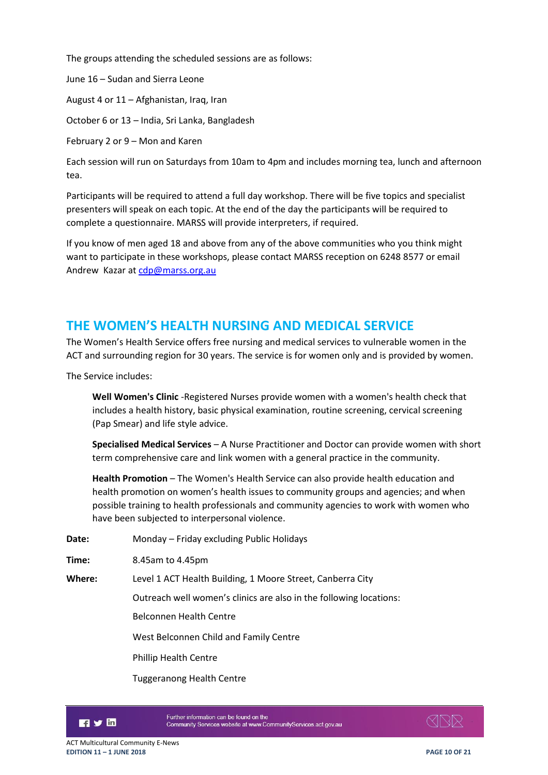The groups attending the scheduled sessions are as follows:

June 16 – Sudan and Sierra Leone

August 4 or 11 – Afghanistan, Iraq, Iran

October 6 or 13 – India, Sri Lanka, Bangladesh

February 2 or 9 – Mon and Karen

Each session will run on Saturdays from 10am to 4pm and includes morning tea, lunch and afternoon tea.

Participants will be required to attend a full day workshop. There will be five topics and specialist presenters will speak on each topic. At the end of the day the participants will be required to complete a questionnaire. MARSS will provide interpreters, if required.

If you know of men aged 18 and above from any of the above communities who you think might want to participate in these workshops, please contact MARSS reception on 6248 8577 or email Andrew Kazar a[t cdp@marss.org.au](mailto:cdp@marss.org.au)

## <span id="page-9-0"></span>**THE WOMEN'S HEALTH NURSING AND MEDICAL SERVICE**

The Women's Health Service offers free nursing and medical services to vulnerable women in the ACT and surrounding region for 30 years. The service is for women only and is provided by women.

The Service includes:

**Well Women's Clinic** -Registered Nurses provide women with a women's health check that includes a health history, basic physical examination, routine screening, cervical screening (Pap Smear) and life style advice.

**Specialised Medical Services** – A Nurse Practitioner and Doctor can provide women with short term comprehensive care and link women with a general practice in the community.

**Health Promotion** – The Women's Health Service can also provide health education and health promotion on women's health issues to community groups and agencies; and when possible training to health professionals and community agencies to work with women who have been subjected to interpersonal violence.

**Date:** Monday – Friday excluding Public Holidays

**Time:** 8.45am to 4.45pm

**Where:** Level 1 ACT Health Building, 1 Moore Street, Canberra City

Outreach well women's clinics are also in the following locations:

Belconnen Health Centre

West Belconnen Child and Family Centre

Phillip Health Centre

Tuggeranong Health Centre



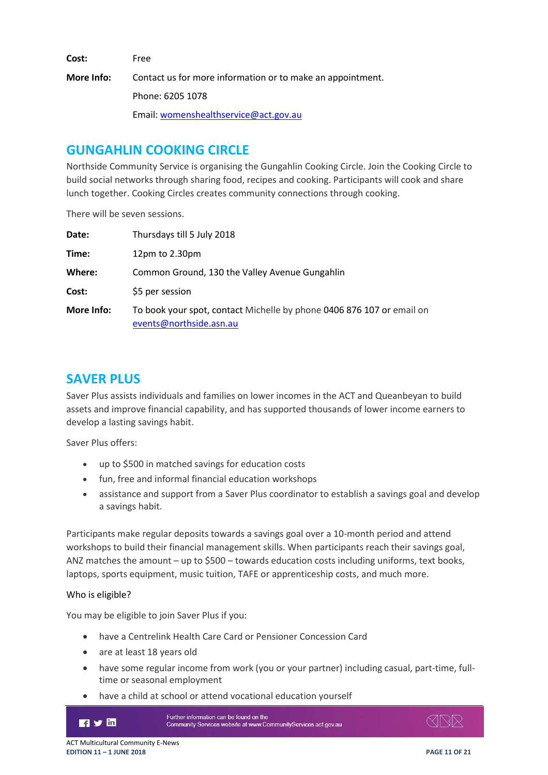**Cost:** Free

**More Info:** Contact us for more information or to make an appointment. Phone: 6205 1078 Email: [womenshealthservice@act.gov.au](mailto:womenshealthservice@act.gov.au)

## <span id="page-10-0"></span>**GUNGAHLIN COOKING CIRCLE**

Northside Community Service is organising the Gungahlin Cooking Circle. Join the Cooking Circle to build social networks through sharing food, recipes and cooking. Participants will cook and share lunch together. Cooking Circles creates community connections through cooking.

There will be seven sessions.

| Date:      | Thursdays till 5 July 2018                                                                       |
|------------|--------------------------------------------------------------------------------------------------|
| Time:      | 12 $pm$ to 2.30 $pm$                                                                             |
| Where:     | Common Ground, 130 the Valley Avenue Gungahlin                                                   |
| Cost:      | \$5 per session                                                                                  |
| More Info: | To book your spot, contact Michelle by phone 0406 876 107 or email on<br>events@northside.asn.au |

## <span id="page-10-1"></span>**SAVER PLUS**

Saver Plus assists individuals and families on lower incomes in the ACT and Queanbeyan to build assets and improve financial capability, and has supported thousands of lower income earners to develop a lasting savings habit.

Saver Plus offers:

- up to \$500 in matched savings for education costs
- fun, free and informal financial education workshops
- assistance and support from a Saver Plus coordinator to establish a savings goal and develop a savings habit.

Participants make regular deposits towards a savings goal over a 10-month period and attend workshops to build their financial management skills. When participants reach their savings goal, ANZ matches the amount – up to \$500 – towards education costs including uniforms, text books, laptops, sports equipment, music tuition, TAFE or apprenticeship costs, and much more.

#### Who is eligible?

You may be eligible to join Saver Plus if you:

- have a Centrelink Health Care Card or Pensioner Concession Card
- are at least 18 years old
- have some regular income from work (you or your partner) including casual, part-time, fulltime or seasonal employment
- have a child at school or attend vocational education yourself



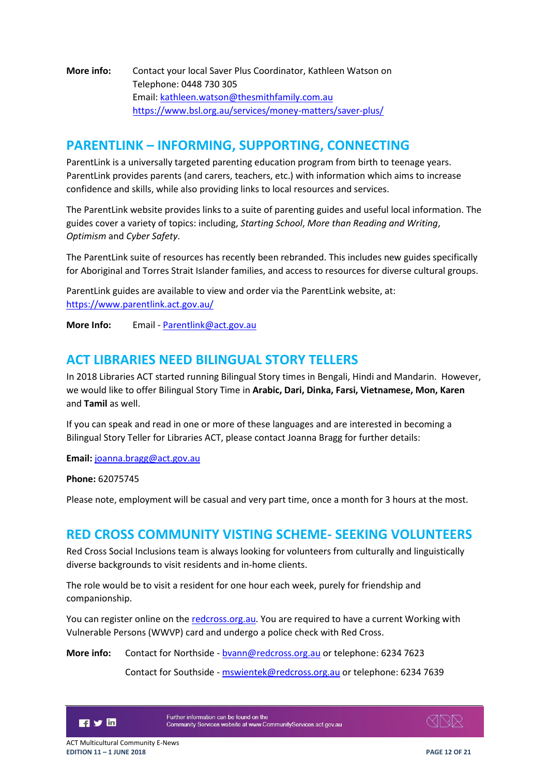**More info:** Contact your local Saver Plus Coordinator, Kathleen Watson on Telephone: 0448 730 305 Email: [kathleen.watson@thesmithfamily.com.au](mailto:kathleen.watson@thesmithfamily.com.au) <https://www.bsl.org.au/services/money-matters/saver-plus/>

### <span id="page-11-0"></span>**PARENTLINK – INFORMING, SUPPORTING, CONNECTING**

ParentLink is a universally targeted parenting education program from birth to teenage years. ParentLink provides parents (and carers, teachers, etc.) with information which aims to increase confidence and skills, while also providing links to local resources and services.

The ParentLink website provides links to a suite of parenting guides and useful local information. The guides cover a variety of topics: including, *Starting School*, *More than Reading and Writing*, *Optimism* and *Cyber Safety*.

The ParentLink suite of resources has recently been rebranded. This includes new guides specifically for Aboriginal and Torres Strait Islander families, and access to resources for diverse cultural groups.

ParentLink guides are available to view and order via the ParentLink website, at: <https://www.parentlink.act.gov.au/>

**More Info:** Email - [Parentlink@act.gov.au](mailto:Parentlink@act.gov.au)

## <span id="page-11-1"></span>**ACT LIBRARIES NEED BILINGUAL STORY TELLERS**

In 2018 Libraries ACT started running Bilingual Story times in Bengali, Hindi and Mandarin. However, we would like to offer Bilingual Story Time in **Arabic, Dari, Dinka, Farsi, Vietnamese, Mon, Karen** and **Tamil** as well.

If you can speak and read in one or more of these languages and are interested in becoming a Bilingual Story Teller for Libraries ACT, please contact Joanna Bragg for further details:

**Email:** [joanna.bragg@act.gov.au](mailto:joanna.bragg@act.gov.au)

**Phone:** 62075745

Please note, employment will be casual and very part time, once a month for 3 hours at the most.

### <span id="page-11-2"></span>**RED CROSS COMMUNITY VISTING SCHEME- SEEKING VOLUNTEERS**

Red Cross Social Inclusions team is always looking for volunteers from culturally and linguistically diverse backgrounds to visit residents and in-home clients.

The role would be to visit a resident for one hour each week, purely for friendship and companionship.

You can register online on the redcross.org.au. You are required to have a current Working with Vulnerable Persons (WWVP) card and undergo a police check with Red Cross.

**More info:** Contact for Northside - [bvann@redcross.org.au](mailto:bvann@redcross.org.au) or telephone: 6234 7623

Contact for Southside - [mswientek@redcross.org.au](mailto:mswientek@redcross.org.au) or telephone: 6234 7639



Further information can be found on the Community Services website at www.CommunityServices.act.gov.au



ACT Multicultural Community E-News **EDITION 11 – 1 JUNE 2018 PAGE 12 OF 21**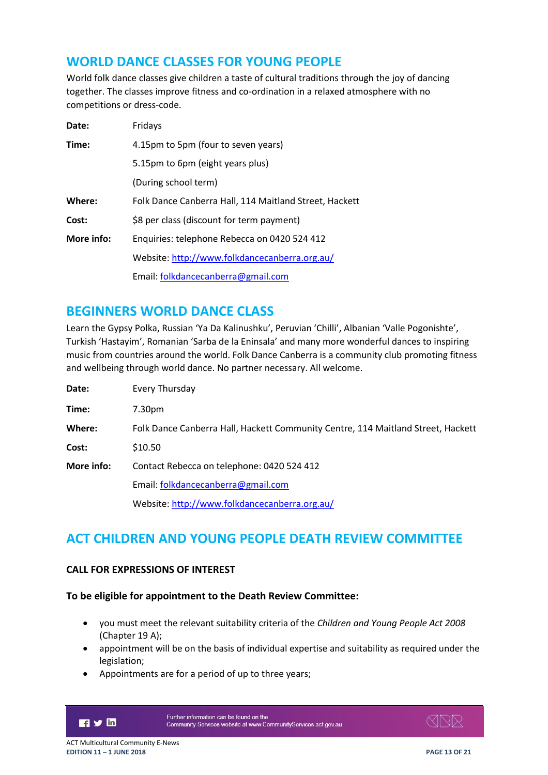## <span id="page-12-0"></span>**WORLD DANCE CLASSES FOR YOUNG PEOPLE**

World folk dance classes give children a taste of cultural traditions through the joy of dancing together. The classes improve fitness and co-ordination in a relaxed atmosphere with no competitions or dress-code.

| Date:      | Fridays                                                |
|------------|--------------------------------------------------------|
| Time:      | 4.15pm to 5pm (four to seven years)                    |
|            | 5.15pm to 6pm (eight years plus)                       |
|            | (During school term)                                   |
| Where:     | Folk Dance Canberra Hall, 114 Maitland Street, Hackett |
| Cost:      | \$8 per class (discount for term payment)              |
| More info: | Enquiries: telephone Rebecca on 0420 524 412           |
|            | Website: http://www.folkdancecanberra.org.au/          |
|            | Email: folkdancecanberra@gmail.com                     |

### <span id="page-12-1"></span>**BEGINNERS WORLD DANCE CLASS**

Learn the Gypsy Polka, Russian 'Ya Da Kalinushku', Peruvian 'Chilli', Albanian 'Valle Pogonishte', Turkish 'Hastayim', Romanian 'Sarba de la Eninsala' and many more wonderful dances to inspiring music from countries around the world. Folk Dance Canberra is a community club promoting fitness and wellbeing through world dance. No partner necessary. All welcome.

| Date:      | Every Thursday                                                                   |
|------------|----------------------------------------------------------------------------------|
| Time:      | 7.30pm                                                                           |
| Where:     | Folk Dance Canberra Hall, Hackett Community Centre, 114 Maitland Street, Hackett |
| Cost:      | \$10.50                                                                          |
| More info: | Contact Rebecca on telephone: 0420 524 412                                       |
|            | Email: folkdancecanberra@gmail.com                                               |
|            | Website: http://www.folkdancecanberra.org.au/                                    |

## <span id="page-12-2"></span>**ACT CHILDREN AND YOUNG PEOPLE DEATH REVIEW COMMITTEE**

#### **CALL FOR EXPRESSIONS OF INTEREST**

#### **To be eligible for appointment to the Death Review Committee:**

- you must meet the relevant suitability criteria of the *Children and Young People Act 2008* (Chapter 19 A);
- appointment will be on the basis of individual expertise and suitability as required under the legislation;
- Appointments are for a period of up to three years;



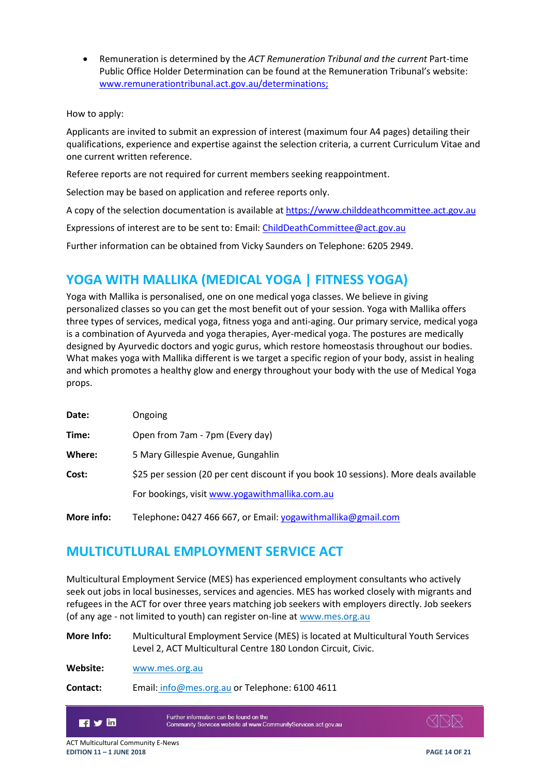Remuneration is determined by the *ACT Remuneration Tribunal and the current* Part-time Public Office Holder Determination can be found at the Remuneration Tribunal's website: [www.remunerationtribunal.act.gov.au/determinations;](http://www.remunerationtribunal.act.gov.au/determinations)

#### How to apply:

Applicants are invited to submit an expression of interest (maximum four A4 pages) detailing their qualifications, experience and expertise against the selection criteria, a current Curriculum Vitae and one current written reference.

Referee reports are not required for current members seeking reappointment.

Selection may be based on application and referee reports only.

A copy of the selection documentation is available a[t https://www.childdeathcommittee.act.gov.au](https://www.childdeathcommittee.act.gov.au/)

Expressions of interest are to be sent to: Email: [ChildDeathCommittee@act.gov.au](mailto:ChildDeathCommittee@act.gov.au)

<span id="page-13-0"></span>Further information can be obtained from Vicky Saunders on Telephone: 6205 2949.

## **YOGA WITH MALLIKA (MEDICAL YOGA | FITNESS YOGA)**

Yoga with Mallika is personalised, one on one medical yoga classes. We believe in giving personalized classes so you can get the most benefit out of your session. Yoga with Mallika offers three types of services, medical yoga, fitness yoga and anti-aging. Our primary service, medical yoga is a combination of Ayurveda and yoga therapies, Ayer-medical yoga. The postures are medically designed by Ayurvedic doctors and yogic gurus, which restore homeostasis throughout our bodies. What makes yoga with Mallika different is we target a specific region of your body, assist in healing and which promotes a healthy glow and energy throughout your body with the use of Medical Yoga props.

| Date:      | Ongoing                                                                               |
|------------|---------------------------------------------------------------------------------------|
| Time:      | Open from 7am - 7pm (Every day)                                                       |
| Where:     | 5 Mary Gillespie Avenue, Gungahlin                                                    |
| Cost:      | \$25 per session (20 per cent discount if you book 10 sessions). More deals available |
|            | For bookings, visit www.yogawithmallika.com.au                                        |
| More info: | Telephone: 0427 466 667, or Email: yogawithmallika@gmail.com                          |

## <span id="page-13-1"></span>**MULTICUTLURAL EMPLOYMENT SERVICE ACT**

Multicultural Employment Service (MES) has experienced employment consultants who actively seek out jobs in local businesses, services and agencies. MES has worked closely with migrants and refugees in the ACT for over three years matching job seekers with employers directly. Job seekers (of any age - not limited to youth) can register on-line at [www.mes.org.au](http://www.mes.org.au/)

**More Info:** Multicultural Employment Service (MES) is located at Multicultural Youth Services Level 2, ACT Multicultural Centre 180 London Circuit, Civic.

**Website:** [www.mes.org.au](http://www.mes.org.au/)

**Contact:** Email: [info@mes.org.au](mailto:info@mes.org.au) or Telephone: 6100 4611



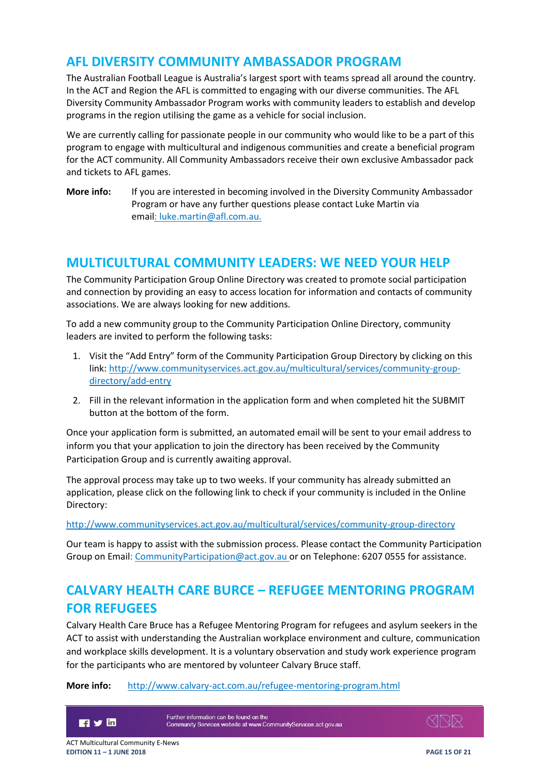### <span id="page-14-0"></span>**AFL DIVERSITY COMMUNITY AMBASSADOR PROGRAM**

The Australian Football League is Australia's largest sport with teams spread all around the country. In the ACT and Region the AFL is committed to engaging with our diverse communities. The AFL Diversity Community Ambassador Program works with community leaders to establish and develop programs in the region utilising the game as a vehicle for social inclusion.

We are currently calling for passionate people in our community who would like to be a part of this program to engage with multicultural and indigenous communities and create a beneficial program for the ACT community. All Community Ambassadors receive their own exclusive Ambassador pack and tickets to AFL games.

**More info:** If you are interested in becoming involved in the Diversity Community Ambassador Program or have any further questions please contact Luke Martin via email: [luke.martin@afl.com.au.](mailto:luke.martin@afl.com.au)

## <span id="page-14-1"></span>**MULTICULTURAL COMMUNITY LEADERS: WE NEED YOUR HELP**

The Community Participation Group Online Directory was created to promote social participation and connection by providing an easy to access location for information and contacts of community associations. We are always looking for new additions.

To add a new community group to the Community Participation Online Directory, community leaders are invited to perform the following tasks:

- 1. Visit the "Add Entry" form of the Community Participation Group Directory by clicking on this link: [http://www.communityservices.act.gov.au/multicultural/services/community-group](http://www.communityservices.act.gov.au/multicultural/services/community-group-directory/add-entry)[directory/add-entry](http://www.communityservices.act.gov.au/multicultural/services/community-group-directory/add-entry)
- 2. Fill in the relevant information in the application form and when completed hit the SUBMIT button at the bottom of the form.

Once your application form is submitted, an automated email will be sent to your email address to inform you that your application to join the directory has been received by the Community Participation Group and is currently awaiting approval.

The approval process may take up to two weeks. If your community has already submitted an application, please click on the following link to check if your community is included in the Online Directory:

#### <http://www.communityservices.act.gov.au/multicultural/services/community-group-directory>

Our team is happy to assist with the submission process. Please contact the Community Participation Group on Email[: CommunityParticipation@act.gov.au](mailto:CommunityParticipation@act.gov.au) or on Telephone: 6207 0555 for assistance.

## <span id="page-14-2"></span>**CALVARY HEALTH CARE BURCE – REFUGEE MENTORING PROGRAM FOR REFUGEES**

Calvary Health Care Bruce has a Refugee Mentoring Program for refugees and asylum seekers in the ACT to assist with understanding the Australian workplace environment and culture, communication and workplace skills development. It is a voluntary observation and study work experience program for the participants who are mentored by volunteer Calvary Bruce staff.

#### **More info:** <http://www.calvary-act.com.au/refugee-mentoring-program.html>



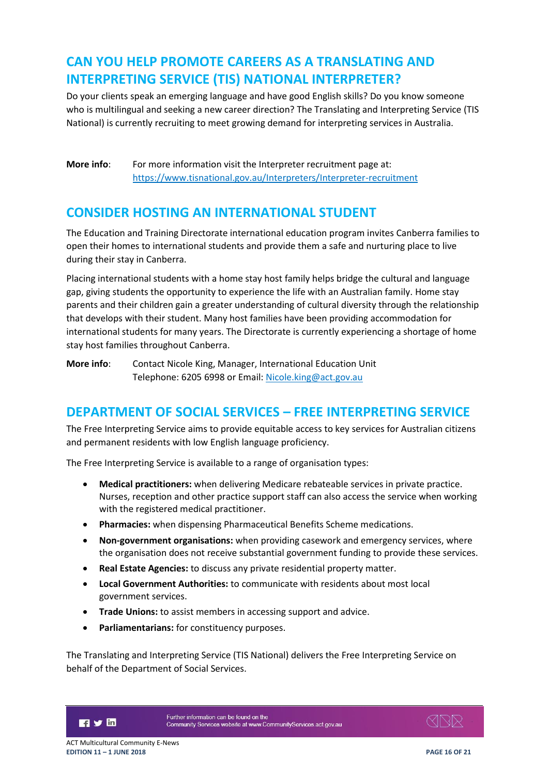## <span id="page-15-0"></span>**CAN YOU HELP PROMOTE CAREERS AS A TRANSLATING AND INTERPRETING SERVICE (TIS) NATIONAL INTERPRETER?**

Do your clients speak an emerging language and have good English skills? Do you know someone who is multilingual and seeking a new career direction? The Translating and Interpreting Service (TIS National) is currently recruiting to meet growing demand for interpreting services in Australia.

**More info:** For more information visit the Interpreter recruitment page at: <https://www.tisnational.gov.au/Interpreters/Interpreter-recruitment>

## <span id="page-15-1"></span>**CONSIDER HOSTING AN INTERNATIONAL STUDENT**

The Education and Training Directorate international education program invites Canberra families to open their homes to international students and provide them a safe and nurturing place to live during their stay in Canberra.

Placing international students with a home stay host family helps bridge the cultural and language gap, giving students the opportunity to experience the life with an Australian family. Home stay parents and their children gain a greater understanding of cultural diversity through the relationship that develops with their student. Many host families have been providing accommodation for international students for many years. The Directorate is currently experiencing a shortage of home stay host families throughout Canberra.

**More info:** Contact Nicole King, Manager, International Education Unit Telephone: 6205 6998 or Email[: Nicole.king@act.gov.au](mailto:Nicole.king@act.gov.au)

## <span id="page-15-2"></span>**DEPARTMENT OF SOCIAL SERVICES – FREE INTERPRETING SERVICE**

The Free Interpreting Service aims to provide equitable access to key services for Australian citizens and permanent residents with low English language proficiency.

The Free Interpreting Service is available to a range of organisation types:

- **Medical practitioners:** when delivering Medicare rebateable services in private practice. Nurses, reception and other practice support staff can also access the service when working with the registered medical practitioner.
- **Pharmacies:** when dispensing Pharmaceutical Benefits Scheme medications.
- **Non-government organisations:** when providing casework and emergency services, where the organisation does not receive substantial government funding to provide these services.
- **Real Estate Agencies:** to discuss any private residential property matter.
- **Local Government Authorities:** to communicate with residents about most local government services.
- **Trade Unions:** to assist members in accessing support and advice.
- **Parliamentarians:** for constituency purposes.

The Translating and Interpreting Service (TIS National) delivers the Free Interpreting Service on behalf of the Department of Social Services.

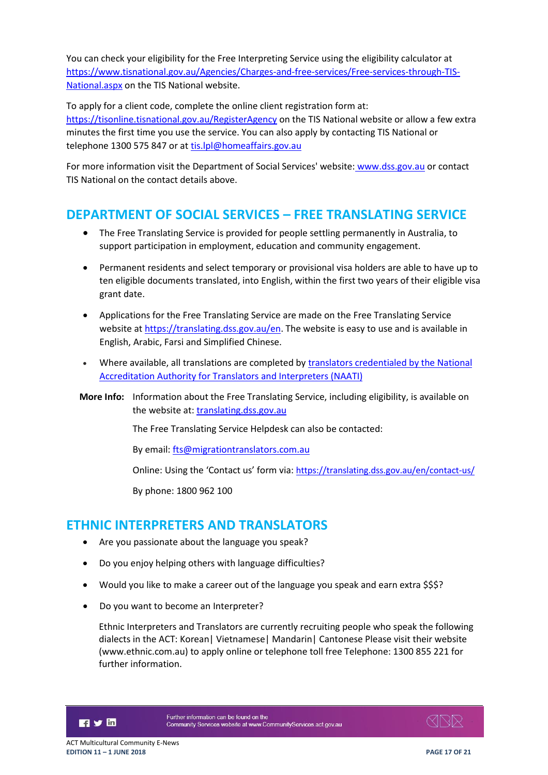You can check your eligibility for the Free Interpreting Service using the eligibility calculator at [https://www.tisnational.gov.au/Agencies/Charges-and-free-services/Free-services-through-TIS-](https://www.tisnational.gov.au/Agencies/Charges-and-free-services/Free-services-through-TIS-National.aspx)[National.aspx](https://www.tisnational.gov.au/Agencies/Charges-and-free-services/Free-services-through-TIS-National.aspx) on the TIS National website.

To apply for a client code, complete the online client registration form at:

<https://tisonline.tisnational.gov.au/RegisterAgency> on the TIS National website or allow a few extra minutes the first time you use the service. You can also apply by contacting TIS National or telephone 1300 575 847 or at [tis.lpl@homeaffairs.gov.au](mailto:tis.lpl@homeaffairs.gov.au)

For more information visit the [Department of Social Services' website:](http://www.dss.gov.au/free-interpreting) www.dss.gov.au or contact TIS National on the contact details above.

## <span id="page-16-0"></span>**DEPARTMENT OF SOCIAL SERVICES – FREE TRANSLATING SERVICE**

- The Free Translating Service is provided for people settling permanently in Australia, to support participation in employment, education and community engagement.
- Permanent residents and select temporary or provisional visa holders are able to have up to ten eligible documents translated, into English, within the first two years of their eligible visa grant date.
- Applications for the Free Translating Service are made on the Free Translating Service website at [https://translating.dss.gov.au/en.](https://translating.dss.gov.au/en) The website is easy to use and is available in English, Arabic, Farsi and Simplified Chinese.
- Where available, all translations are completed b[y translators credentialed by the National](https://www.naati.com.au/certification/certification/)  [Accreditation Authority for Translators and Interpreters \(NAATI\)](https://www.naati.com.au/certification/certification/)
- **More Info:** Information about the Free Translating Service, including eligibility, is available on the website at: translating.dss.gov.au

The Free Translating Service Helpdesk can also be contacted:

By email: [fts@migrationtranslators.com.au](mailto:fts@migrationtranslators.com.au)

Online: Using the 'Contact us' form via: <https://translating.dss.gov.au/en/contact-us/>

By phone: 1800 962 100

### <span id="page-16-1"></span>**ETHNIC INTERPRETERS AND TRANSLATORS**

- Are you passionate about the language you speak?
- Do you enjoy helping others with language difficulties?
- Would you like to make a career out of the language you speak and earn extra \$\$\$?
- Do you want to become an Interpreter?

Ethnic Interpreters and Translators are currently recruiting people who speak the following dialects in the ACT: Korean| Vietnamese| Mandarin| Cantonese Please visit their website (www.ethnic.com.au) to apply online or telephone toll free Telephone: 1300 855 221 for further information.

**Fi** y in

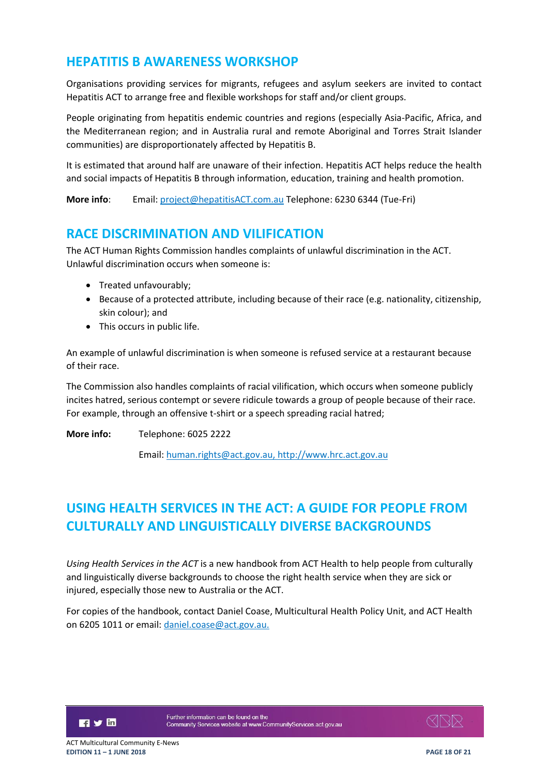## <span id="page-17-0"></span>**HEPATITIS B AWARENESS WORKSHOP**

Organisations providing services for migrants, refugees and asylum seekers are invited to contact Hepatitis ACT to arrange free and flexible workshops for staff and/or client groups.

People originating from hepatitis endemic countries and regions (especially Asia-Pacific, Africa, and the Mediterranean region; and in Australia rural and remote Aboriginal and Torres Strait Islander communities) are disproportionately affected by Hepatitis B.

It is estimated that around half are unaware of their infection. Hepatitis ACT helps reduce the health and social impacts of Hepatitis B through information, education, training and health promotion.

**More info**: Email: [project@hepatitisACT.com.au](mailto:project@hepatitisACT.com.au) Telephone: 6230 6344 (Tue-Fri)

### <span id="page-17-1"></span>**RACE DISCRIMINATION AND VILIFICATION**

The ACT Human Rights Commission handles complaints of unlawful discrimination in the ACT. Unlawful discrimination occurs when someone is:

- Treated unfavourably;
- **Because of a protected attribute, including because of their race (e.g. nationality, citizenship,** skin colour); and
- This occurs in public life.

An example of unlawful discrimination is when someone is refused service at a restaurant because of their race.

The Commission also handles complaints of racial vilification, which occurs when someone publicly incites hatred, serious contempt or severe ridicule towards a group of people because of their race. For example, through an offensive t-shirt or a speech spreading racial hatred;

**More info:** Telephone: 6025 2222

Email: [human.rights@act.gov.au,](mailto:human.rights@act.gov.au) [http://www.hrc.act.gov.au](http://www.hrc.act.gov.au/)

## <span id="page-17-2"></span>**USING HEALTH SERVICES IN THE ACT: A GUIDE FOR PEOPLE FROM CULTURALLY AND LINGUISTICALLY DIVERSE BACKGROUNDS**

*Using Health Services in the ACT* is a new handbook from ACT Health to help people from culturally and linguistically diverse backgrounds to choose the right health service when they are sick or injured, especially those new to Australia or the ACT.

For copies of the handbook, contact Daniel Coase, Multicultural Health Policy Unit, and ACT Health on 6205 1011 or email: [daniel.coase@act.gov.au.](mailto:daniel.coase@act.gov.au)

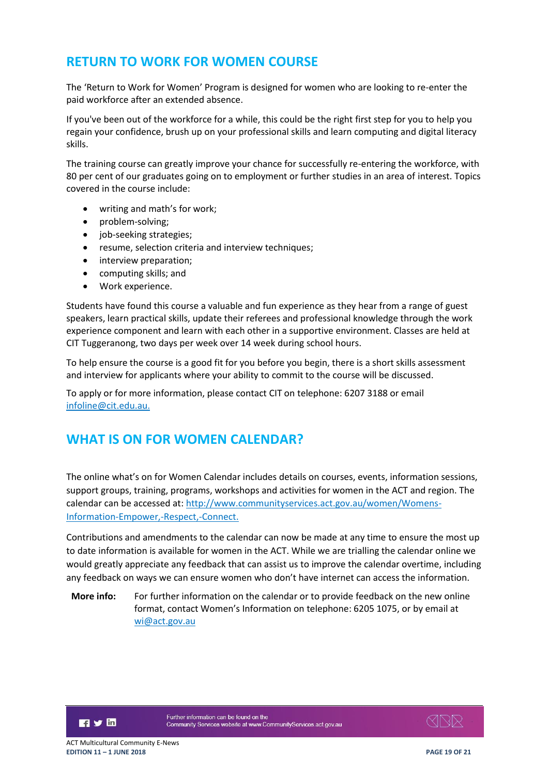## <span id="page-18-0"></span>**RETURN TO WORK FOR WOMEN COURSE**

The 'Return to Work for Women' Program is designed for women who are looking to re-enter the paid workforce after an extended absence.

If you've been out of the workforce for a while, this could be the right first step for you to help you regain your confidence, brush up on your professional skills and learn computing and digital literacy skills.

The training course can greatly improve your chance for successfully re-entering the workforce, with 80 per cent of our graduates going on to employment or further studies in an area of interest. Topics covered in the course include:

- writing and math's for work;
- problem-solving;
- job-seeking strategies;
- resume, selection criteria and interview techniques;
- interview preparation:
- computing skills; and
- Work experience.

Students have found this course a valuable and fun experience as they hear from a range of guest speakers, learn practical skills, update their referees and professional knowledge through the work experience component and learn with each other in a supportive environment. Classes are held at CIT Tuggeranong, two days per week over 14 week during school hours.

To help ensure the course is a good fit for you before you begin, there is a short skills assessment and interview for applicants where your ability to commit to the course will be discussed.

To apply or for more information, please contact CIT on telephone: 6207 3188 or email [infoline@cit.edu.au.](mailto:infoline@cit.edu.au)

## <span id="page-18-1"></span>**WHAT IS ON FOR WOMEN CALENDAR?**

The online what's on for Women Calendar includes details on courses, events, information sessions, support groups, training, programs, workshops and activities for women in the ACT and region. The calendar can be accessed at: [http://www.communityservices.act.gov.au/women/Womens-](http://www.communityservices.act.gov.au/women/Womens-Information-Empower,-Respect,-Connect)[Information-Empower,-Respect,-Connect.](http://www.communityservices.act.gov.au/women/Womens-Information-Empower,-Respect,-Connect)

Contributions and amendments to the calendar can now be made at any time to ensure the most up to date information is available for women in the ACT. While we are trialling the calendar online we would greatly appreciate any feedback that can assist us to improve the calendar overtime, including any feedback on ways we can ensure women who don't have internet can access the information.

**More info:** For further information on the calendar or to provide feedback on the new online format, contact Women's Information on telephone: 6205 1075, or by email at [wi@act.gov.au](mailto:wi@act.gov.au)

日ソ回

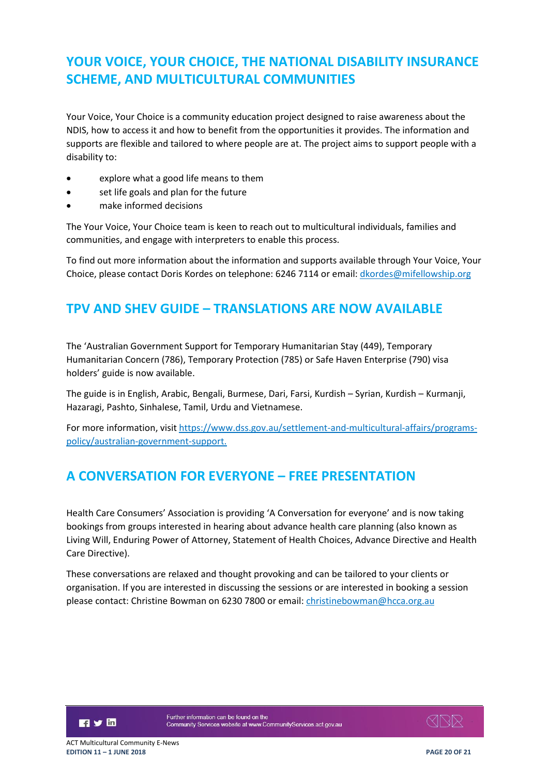## <span id="page-19-0"></span>**YOUR VOICE, YOUR CHOICE, THE NATIONAL DISABILITY INSURANCE SCHEME, AND MULTICULTURAL COMMUNITIES**

Your Voice, Your Choice is a community education project designed to raise awareness about the NDIS, how to access it and how to benefit from the opportunities it provides. The information and supports are flexible and tailored to where people are at. The project aims to support people with a disability to:

- explore what a good life means to them
- set life goals and plan for the future
- make informed decisions

The Your Voice, Your Choice team is keen to reach out to multicultural individuals, families and communities, and engage with interpreters to enable this process.

To find out more information about the information and supports available through Your Voice, Your Choice, please contact Doris Kordes on telephone: 6246 7114 or email: *dkordes@mifellowship.org* 

## <span id="page-19-1"></span>**TPV AND SHEV GUIDE – TRANSLATIONS ARE NOW AVAILABLE**

The 'Australian Government Support for Temporary Humanitarian Stay (449), Temporary Humanitarian Concern (786), Temporary Protection (785) or Safe Haven Enterprise (790) visa holders' guide is now available.

The guide is in English, Arabic, Bengali, Burmese, Dari, Farsi, Kurdish – Syrian, Kurdish – Kurmanji, Hazaragi, Pashto, Sinhalese, Tamil, Urdu and Vietnamese.

For more information, visi[t https://www.dss.gov.au/settlement-and-multicultural-affairs/programs](https://www.dss.gov.au/settlement-and-multicultural-affairs/programs-policy/australian-government-support)[policy/australian-government-support.](https://www.dss.gov.au/settlement-and-multicultural-affairs/programs-policy/australian-government-support)

## <span id="page-19-2"></span>**A CONVERSATION FOR EVERYONE – FREE PRESENTATION**

Health Care Consumers' Association is providing 'A Conversation for everyone' and is now taking bookings from groups interested in hearing about advance health care planning (also known as Living Will, Enduring Power of Attorney, Statement of Health Choices, Advance Directive and Health Care Directive).

These conversations are relaxed and thought provoking and can be tailored to your clients or organisation. If you are interested in discussing the sessions or are interested in booking a session please contact: Christine Bowman on 6230 7800 or email: [christinebowman@hcca.org.au](mailto:christinebowman@hcca.org.au)

**Fi** y in